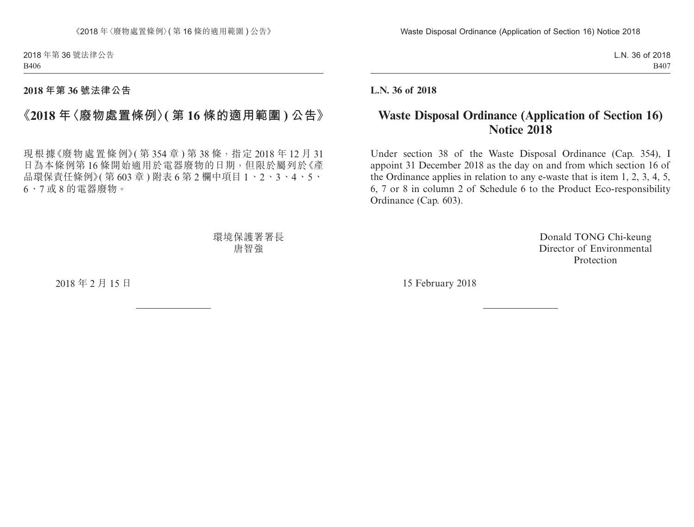2018 年第 36 號法律公告 B406

## **2018 年第 36 號法律公告**

## **《2018 年〈廢物處置條例〉( 第 16 條的適用範圍 ) 公告》**

現根據《廢物處置條例》(第354章)第38條,指定2018年12月31 日為本條例第 16 條開始適用於電器廢物的日期,但限於屬列於《產 品環保責任條例》(第603章)附表6第2欄中項目1、2、3、4、5、 6、7 或 8 的電器廢物。

> 環境保護署署長 唐智強

2018 年 2 月 15 日